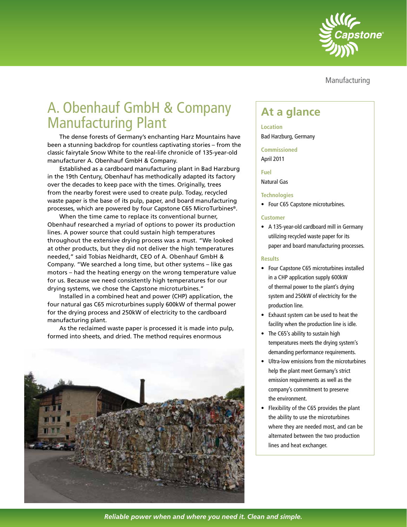

Manufacturing

# A. Obenhauf GmbH & Company A. Openhadi Giliph & Company<br>Manufacturing Plant

The dense forests of Germany's enchanting Harz Mountains have been a stunning backdrop for countless captivating stories – from the classic fairytale Snow White to the real-life chronicle of 135-year-old manufacturer A. Obenhauf GmbH & Company.

Established as a cardboard manufacturing plant in Bad Harzburg in the 19th Century, Obenhauf has methodically adapted its factory over the decades to keep pace with the times. Originally, trees from the nearby forest were used to create pulp. Today, recycled waste paper is the base of its pulp, paper, and board manufacturing processes, which are powered by four Capstone C65 MicroTurbines®.

When the time came to replace its conventional burner, Obenhauf researched a myriad of options to power its production lines. A power source that could sustain high temperatures throughout the extensive drying process was a must. "We looked at other products, but they did not deliver the high temperatures needed," said Tobias Neidhardt, CEO of A. Obenhauf GmbH & Company. "We searched a long time, but other systems – like gas motors – had the heating energy on the wrong temperature value for us. Because we need consistently high temperatures for our drying systems, we chose the Capstone microturbines."

Installed in a combined heat and power (CHP) application, the four natural gas C65 microturbines supply 600kW of thermal power for the drying process and 250kW of electricity to the cardboard manufacturing plant.

As the reclaimed waste paper is processed it is made into pulp, formed into sheets, and dried. The method requires enormous



**Location** Bad Harzburg, Germany

#### **Commissioned**

April 2011

# **Fuel**

Natural Gas

#### **Technologies**

• Four C65 Capstone microturbines.

# **Customer**

• A 135-year-old cardboard mill in Germany utilizing recycled waste paper for its paper and board manufacturing processes.

# **Results**

- Four Capstone C65 microturbines installed in a CHP application supply 600kW of thermal power to the plant's drying system and 250kW of electricity for the production line.
- Exhaust system can be used to heat the facility when the production line is idle.
- The C65's ability to sustain high temperatures meets the drying system's demanding performance requirements.
- Ultra-low emissions from the microturbines help the plant meet Germany's strict emission requirements as well as the company's commitment to preserve the environment.
- Flexibility of the C65 provides the plant the ability to use the microturbines where they are needed most, and can be alternated between the two production lines and heat exchanger.

*Reliable power when and where you need it. Clean and simple.*